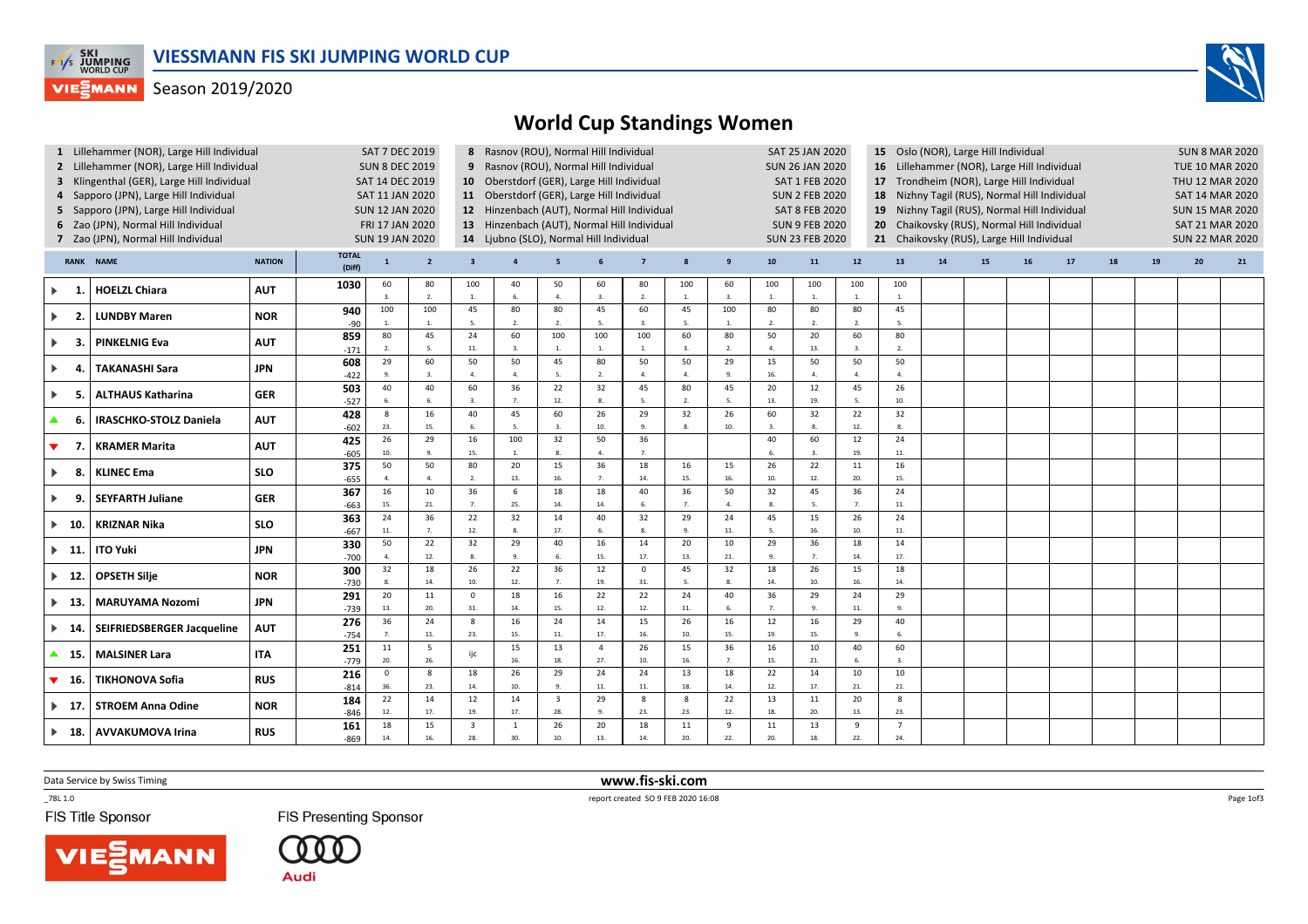

## **VIESMANN** Season 2019/2020

## World Cup Standings Women

|                                            | 1 Lillehammer (NOR), Large Hill Individual |            | SAT 7 DEC 2019         |                                             | 8 Rasnov (ROU), Normal Hill Individual      |                                         |                                            |                                        |                |                         |                    |                       | <b>SAT 25 JAN 2020</b> |                                           | 15 Oslo (NOR), Large Hill Individual             |                                             | <b>SUN 8 MAR 2020</b>                      |                        |                        |    |    |    |    |    |
|--------------------------------------------|--------------------------------------------|------------|------------------------|---------------------------------------------|---------------------------------------------|-----------------------------------------|--------------------------------------------|----------------------------------------|----------------|-------------------------|--------------------|-----------------------|------------------------|-------------------------------------------|--------------------------------------------------|---------------------------------------------|--------------------------------------------|------------------------|------------------------|----|----|----|----|----|
|                                            | 2 Lillehammer (NOR), Large Hill Individual |            |                        | <b>SUN 8 DEC 2019</b>                       |                                             |                                         |                                            | 9 Rasnov (ROU), Normal Hill Individual |                |                         |                    |                       |                        |                                           |                                                  | 16 Lillehammer (NOR), Large Hill Individual |                                            |                        | <b>TUE 10 MAR 2020</b> |    |    |    |    |    |
| 3 Klingenthal (GER), Large Hill Individual |                                            |            | SAT 14 DEC 2019        |                                             | 10 Oberstdorf (GER), Large Hill Individual  |                                         |                                            |                                        |                |                         |                    | <b>SAT 1 FEB 2020</b> |                        | 17 Trondheim (NOR), Large Hill Individual |                                                  |                                             |                                            | THU 12 MAR 2020        |                        |    |    |    |    |    |
| 4 Sapporo (JPN), Large Hill Individual     |                                            |            | SAT 11 JAN 2020        |                                             |                                             |                                         | 11 Oberstdorf (GER), Large Hill Individual |                                        |                |                         |                    |                       | <b>SUN 2 FEB 2020</b>  |                                           |                                                  | 18                                          | Nizhny Tagil (RUS), Normal Hill Individual |                        | <b>SAT 14 MAR 2020</b> |    |    |    |    |    |
|                                            | 5 Sapporo (JPN), Large Hill Individual     |            | <b>SUN 12 JAN 2020</b> |                                             | 12 Hinzenbach (AUT), Normal Hill Individual |                                         |                                            |                                        |                |                         |                    | <b>SAT 8 FEB 2020</b> |                        | 19                                        | Nizhny Tagil (RUS), Normal Hill Individual       |                                             |                                            |                        | <b>SUN 15 MAR 2020</b> |    |    |    |    |    |
|                                            | 6 Zao (JPN), Normal Hill Individual        |            |                        | 13 Hinzenbach (AUT), Normal Hill Individual |                                             |                                         |                                            |                                        |                |                         |                    | <b>SUN 9 FEB 2020</b> |                        |                                           | Chaikovsky (RUS), Normal Hill Individual         |                                             |                                            | <b>SAT 21 MAR 2020</b> |                        |    |    |    |    |    |
|                                            | 7 Zao (JPN), Normal Hill Individual        |            |                        | FRI 17 JAN 2020<br><b>SUN 19 JAN 2020</b>   |                                             |                                         |                                            |                                        |                |                         |                    |                       | <b>SUN 23 FEB 2020</b> |                                           | 20<br>21 Chaikovsky (RUS), Large Hill Individual |                                             |                                            | <b>SUN 22 MAR 2020</b> |                        |    |    |    |    |    |
|                                            |                                            |            |                        |                                             |                                             | 14 Ljubno (SLO), Normal Hill Individual |                                            |                                        |                |                         |                    |                       |                        |                                           |                                                  |                                             |                                            |                        |                        |    |    |    |    |    |
| <b>RANK NAME</b><br><b>NATION</b>          |                                            |            | <b>TOTAL</b><br>(Diff) | $\mathbf{1}$                                | $\overline{2}$                              | $\overline{\mathbf{3}}$                 |                                            | 5                                      | 6              | $\overline{7}$          | 8                  | 9                     | 10                     | 11                                        | 12                                               | 13                                          | 14                                         | 15                     | 16                     | 17 | 18 | 19 | 20 | 21 |
| Þ.<br>- 1.                                 | <b>HOELZL Chiara</b>                       | <b>AUT</b> | 1030                   | 60<br>3.                                    | 80<br>2.                                    | 100<br>1.                               | 40<br>6.                                   | 50<br>$\overline{4}$                   | 60<br>3.       | 80<br>$\overline{2}$    | 100<br>1.          | 60<br>3.              | 100<br>1.              | 100<br>1.                                 | 100<br>$\overline{1}$ .                          | 100<br>$\overline{1}$ .                     |                                            |                        |                        |    |    |    |    |    |
|                                            |                                            |            | 940                    | 100                                         | 100                                         | 45                                      | 80                                         | 80                                     | 45             | 60                      | 45                 | 100                   | 80                     | 80                                        | 80                                               | 45                                          |                                            |                        |                        |    |    |    |    |    |
| Þ.<br>- 2.                                 | <b>LUNDBY Maren</b>                        | <b>NOR</b> | $-90$                  | $\overline{1}$                              | $\mathbf{1}$                                | 5.                                      | 2.                                         | $\overline{2}$                         | 5.             | $\overline{\mathbf{3}}$ | -5.                | -1.                   | 2.                     | 2.                                        | $\overline{2}$ .                                 | - 5.                                        |                                            |                        |                        |    |    |    |    |    |
|                                            | <b>PINKELNIG Eva</b>                       | <b>AUT</b> | 859                    | 80                                          | 45                                          | 24                                      | 60                                         | 100                                    | 100            | 100                     | 60                 | 80                    | 50                     | 20                                        | 60                                               | 80                                          |                                            |                        |                        |    |    |    |    |    |
| - 3.<br>▶                                  |                                            |            | $-171$                 | 2.                                          | 5.                                          | $11. \,$                                | 3.                                         | 1.                                     | 1.             | $\overline{1}$          | 3.                 | 2.                    | $\mathbf{A}$           | 13.                                       | 3.                                               | 2.                                          |                                            |                        |                        |    |    |    |    |    |
| Þ.<br>-4                                   |                                            | <b>JPN</b> | 608                    | 29                                          | 60                                          | 50                                      | 50                                         | 45                                     | 80             | 50                      | 50                 | 29                    | 15                     | 50                                        | 50                                               | 50                                          |                                            |                        |                        |    |    |    |    |    |
|                                            | <b>TAKANASHI Sara</b>                      |            | $-422$                 | 9.                                          | 3.                                          | $\mathbf{A}$                            | $\Delta$                                   | - 5.                                   | 2.             | $\overline{a}$          | $\mathbf{A}$       | 9.                    | 16.                    | 4.                                        | $\overline{A}$                                   | 4.                                          |                                            |                        |                        |    |    |    |    |    |
| ▶                                          | <b>ALTHAUS Katharina</b><br>-5.            | <b>GER</b> | 503                    | 40                                          | 40                                          | 60                                      | 36                                         | 22                                     | 32             | 45                      | 80                 | 45                    | 20                     | 12                                        | 45                                               | 26                                          |                                            |                        |                        |    |    |    |    |    |
|                                            |                                            |            | $-527$                 | 6.                                          | 6.                                          | 3.                                      | 7.                                         | 12.                                    | 8.             | - 5.                    | 2.                 | 5.                    | 13.                    | 19.                                       | -5.                                              | 10.                                         |                                            |                        |                        |    |    |    |    |    |
| ▲.<br>-6.                                  | <b>IRASCHKO-STOLZ Daniela</b>              | <b>AUT</b> | 428<br>$-602$          | 8<br>23.                                    | 16<br>15.                                   | 40<br>6.                                | 45<br>$\overline{\phantom{a}}$             | 60<br>$\overline{3}$                   | 26<br>$10.$    | 29<br>$\overline{9}$    | 32<br>$\mathbf{R}$ | 26<br>10.             | 60<br>$\mathbf{3}$     | 32<br>8.                                  | 22<br>12.                                        | 32<br>8.                                    |                                            |                        |                        |    |    |    |    |    |
|                                            |                                            |            | 425                    | 26                                          | 29                                          | 16                                      | 100                                        | 32                                     | 50             | 36                      |                    |                       | 40                     | 60                                        | 12                                               | 24                                          |                                            |                        |                        |    |    |    |    |    |
| ▼<br>- 7                                   | <b>KRAMER Marita</b>                       | <b>AUT</b> | $-605$                 | 10.                                         | $\mathbf{q}$                                | 15.                                     | $\overline{1}$                             | $\mathbf{R}$                           | 4.             | $\overline{7}$          |                    |                       |                        | $\overline{3}$                            | 19.                                              | 11.                                         |                                            |                        |                        |    |    |    |    |    |
|                                            |                                            |            | 375                    | 50                                          | 50                                          | 80                                      | 20                                         | 15                                     | 36             | 18                      | 16                 | 15                    | 26                     | 22                                        | $11\,$                                           | 16                                          |                                            |                        |                        |    |    |    |    |    |
| -8.<br>Þ.                                  | <b>KLINEC Ema</b>                          | <b>SLO</b> | $-655$                 | 4.                                          | $\overline{a}$                              | 2.                                      | 13.                                        | 16.                                    | 7.             | 14.                     | 15.                | 16.                   | 10.                    | 12.                                       | 20.                                              | 15.                                         |                                            |                        |                        |    |    |    |    |    |
|                                            | <b>SEYFARTH Juliane</b>                    | <b>GER</b> | 367                    | 16                                          | 10                                          | 36                                      | 6                                          | 18                                     | 18             | 40                      | 36                 | 50                    | 32                     | 45                                        | 36                                               | 24                                          |                                            |                        |                        |    |    |    |    |    |
| Þ.<br>-9.                                  |                                            |            | $-663$                 | 15.                                         | 21.                                         | 7.                                      | 25.                                        | 14.                                    | $14.$          |                         | $\overline{7}$     | 4.                    | 8.                     | 5.                                        | $\overline{7}$                                   | $11.$                                       |                                            |                        |                        |    |    |    |    |    |
|                                            | <b>KRIZNAR Nika</b>                        | <b>SLO</b> | 363                    | 24                                          | 36                                          | 22                                      | 32                                         | 14                                     | 40             | 32                      | 29                 | 24                    | 45                     | 15                                        | 26                                               | 24                                          |                                            |                        |                        |    |    |    |    |    |
| - 10.                                      |                                            |            | $-667$                 | 11.                                         | 7 <sup>1</sup>                              | 12.                                     | 8.                                         | 17.                                    | 6.             |                         | $\mathbf{q}$       | 11.                   | -5.                    | 16.                                       | 10.                                              | $11.$                                       |                                            |                        |                        |    |    |    |    |    |
| $\blacktriangleright$ 11.                  | <b>ITO Yuki</b>                            | <b>JPN</b> | 330                    | 50                                          | 22                                          | 32                                      | 29                                         | 40                                     | 16             | 14                      | 20                 | 10                    | 29                     | 36                                        | 18                                               | 14                                          |                                            |                        |                        |    |    |    |    |    |
|                                            |                                            |            | $-700$                 | $\mathbf{A}$                                | 12.                                         | 8.                                      |                                            | 6.                                     | 15.            | 17.                     | 13.                | 21.                   | 9.                     | 7.                                        | 14.                                              | 17.                                         |                                            |                        |                        |    |    |    |    |    |
| $\blacktriangleright$ 12.                  | <b>OPSETH Silje</b>                        | <b>NOR</b> | 300                    | 32                                          | 18                                          | 26                                      | 22                                         | 36                                     | 12             | $\overline{0}$          | 45                 | 32                    | 18                     | 26                                        | 15                                               | 18                                          |                                            |                        |                        |    |    |    |    |    |
|                                            |                                            |            | $-730$                 | 8.                                          | 14.                                         | 10.                                     | 12.                                        | $\overline{7}$                         | 19.            | 31.                     | 5.                 | 8.                    | 14.                    | 10.                                       | 16.                                              | 14.                                         |                                            |                        |                        |    |    |    |    |    |
| $\blacktriangleright$ 13.                  | <b>MARUYAMA Nozomi</b>                     | <b>JPN</b> | 291                    | 20                                          | 11                                          | $\mathbf{0}$                            | 18                                         | 16                                     | 22             | 22                      | 24                 | 40                    | 36                     | 29                                        | 24                                               | 29                                          |                                            |                        |                        |    |    |    |    |    |
|                                            |                                            |            | $-739$                 | 13.                                         | 20.                                         | 31.                                     | 14.                                        | 15.                                    | 12.            | 12.                     | 11.                | 6.                    | $\overline{7}$         | $\mathbf{q}$                              | 11.                                              | $\overline{9}$                              |                                            |                        |                        |    |    |    |    |    |
| Þ.<br>- 14.                                | SEIFRIEDSBERGER Jacqueline                 | <b>AUT</b> | 276                    | 36                                          | 24                                          | 8                                       | 16                                         | 24                                     | 14             | 15                      | 26                 | 16                    | 12                     | 16                                        | 29                                               | 40                                          |                                            |                        |                        |    |    |    |    |    |
|                                            |                                            |            | $-754$                 | 7.                                          | 11.                                         | 23.                                     | 15.                                        | $11.$                                  | 17.            | 16.                     | 10.                | 15.                   | 19.                    | 15.                                       | 9.                                               | 6.                                          |                                            |                        |                        |    |    |    |    |    |
| ▲ 15.                                      | <b>MALSINER Lara</b>                       | <b>ITA</b> | 251                    | 11                                          | 5                                           | ijc                                     | 15                                         | 13                                     | $\overline{4}$ | 26                      | 15                 | 36                    | 16                     | 10                                        | 40                                               | 60                                          |                                            |                        |                        |    |    |    |    |    |
|                                            |                                            |            | $-779$                 | 20.                                         | 26.                                         |                                         | 16.                                        | 18.                                    | 27.            | 10.                     | 16.                | 7.                    | 15.                    | 21.                                       |                                                  | 3.                                          |                                            |                        |                        |    |    |    |    |    |
| ▼<br>- 16.                                 | <b>TIKHONOVA Sofia</b>                     | <b>RUS</b> | 216                    | $\mathbf{0}$                                | 8                                           | 18                                      | 26                                         | 29                                     | 24             | 24                      | 13                 | 18                    | 22                     | 14                                        | 10                                               | 10                                          |                                            |                        |                        |    |    |    |    |    |
|                                            |                                            |            | $-814$                 | 36.                                         | 23.                                         | 14.                                     | 10.                                        | $\mathbf{q}$                           | $\bf 11.$      | 11.                     | 18.                | 14.                   | 12.                    | 17.                                       | 21.                                              | 21.                                         |                                            |                        |                        |    |    |    |    |    |
| $\blacktriangleright$ 17.                  | <b>STROEM Anna Odine</b>                   | <b>NOR</b> | 184                    | 22                                          | 14                                          | 12                                      | 14                                         | $\overline{\mathbf{3}}$                | 29             | 8                       | $\mathbf{g}$       | 22                    | 13                     | $11\,$                                    | 20                                               | 8                                           |                                            |                        |                        |    |    |    |    |    |
|                                            |                                            |            | $-846$                 | 12.                                         | 17.                                         | 19.                                     | 17.                                        | 28.                                    | 9.             | 23.                     | 23.                | 12.                   | 18.                    | 20.                                       | 13.                                              | 23.                                         |                                            |                        |                        |    |    |    |    |    |
|                                            | ▶ 18.   AVVAKUMOVA Irina                   | <b>RUS</b> | 161                    | 18                                          | 15                                          | $\overline{\mathbf{3}}$                 | 1                                          | 26                                     | 20             | 18                      | 11                 | 9                     | 11                     | 13                                        | 9                                                | $\overline{7}$                              |                                            |                        |                        |    |    |    |    |    |
|                                            |                                            |            | $-869$                 | 14.                                         | 16.                                         | 28.                                     | 30.                                        | 10.                                    | 13.            | 14.                     | 20.                | 22.                   | 20.                    | 18.                                       | 22.                                              | 24.                                         |                                            |                        |                        |    |    |    |    |    |

Data Service by Swiss Timing

 $-78L 1.0$ 

FIS Title Sponsor

**FIS Presenting Sponsor** 



 www.fis-ski.comreport created SO 9 FEB 2020 16:08

Page 1of3

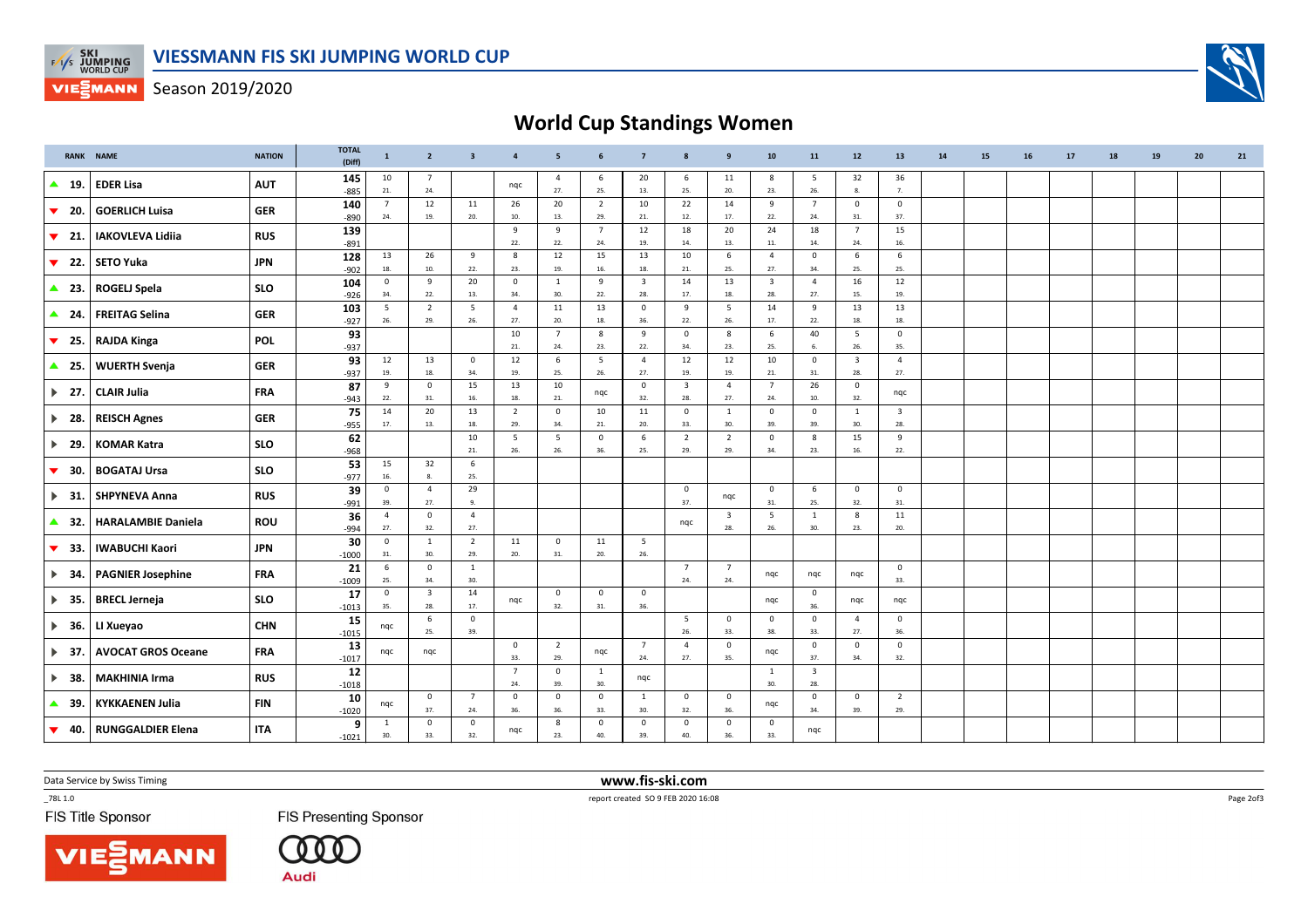

**VIESMANN** Season 2019/2020

## World Cup Standings Women

|                               | <b>RANK NAME</b>          | <b>NATION</b> | <b>TOTAL</b><br>(Diff) | $\mathbf{1}$          | $\overline{2}$                 | $\overline{\mathbf{3}}$   | $\overline{4}$        | 5                               | 6                         | $\overline{7}$                 | 8                              | $\mathbf{9}$                   | ${\bf 10}$                     | 11                             | 12                             | 13                             | 14 | 15 | 16 | 17 | 18 | 19 | 20 | 21 |
|-------------------------------|---------------------------|---------------|------------------------|-----------------------|--------------------------------|---------------------------|-----------------------|---------------------------------|---------------------------|--------------------------------|--------------------------------|--------------------------------|--------------------------------|--------------------------------|--------------------------------|--------------------------------|----|----|----|----|----|----|----|----|
| $\blacktriangle$<br>19.       | <b>EDER Lisa</b>          | <b>AUT</b>    | 145<br>$-885$          | 10<br>21.             | $\overline{7}$<br>24.          |                           | nqc                   | $\overline{a}$<br>27.           | 6<br>25.                  | 20<br>13.                      | 6<br>25.                       | 11<br>20.                      | 8<br>23.                       | 5<br>26.                       | 32<br>8.                       | 36<br>7.                       |    |    |    |    |    |    |    |    |
| ▼<br>20.                      | <b>GOERLICH Luisa</b>     | <b>GER</b>    | 140<br>$-890$          | $\overline{7}$<br>24. | 12<br>19.                      | 11<br>20.                 | 26<br>10.             | 20<br>13.                       | $\overline{2}$<br>29.     | 10<br>21.                      | 22<br>12.                      | 14<br>17.                      | 9<br>22.                       | $7\overline{ }$<br>24.         | $\overline{0}$<br>31.          | $\mathbf 0$<br>37.             |    |    |    |    |    |    |    |    |
| $\blacktriangledown$<br>- 21. | <b>IAKOVLEVA Lidiia</b>   | <b>RUS</b>    | 139<br>$-891$          |                       |                                |                           | 9<br>22.              | 9<br>22.                        | $7\overline{ }$<br>24.    | 12<br>19.                      | 18<br>14.                      | 20<br>13.                      | 24<br>11.                      | 18<br>14.                      | $\overline{7}$<br>24.          | 15<br>16.                      |    |    |    |    |    |    |    |    |
| ▼<br>22.                      | <b>SETO Yuka</b>          | <b>JPN</b>    | 128<br>$-902$          | 13<br>18.             | 26<br>10.                      | 9<br>22.                  | 8<br>23.              | 12<br>19.                       | 15<br>16.                 | 13<br>18.                      | 10<br>21.                      | 6<br>25.                       | $\overline{4}$<br>27.          | $\mathsf 0$<br>34.             | 6<br>25.                       | 6<br>25.                       |    |    |    |    |    |    |    |    |
| $\triangle$ 23.               | <b>ROGELJ Spela</b>       | <b>SLO</b>    | 104<br>$-926$          | $\mathsf 0$<br>34.    | 9<br>22.                       | 20<br>13.                 | $^{\circ}$<br>34.     | <sup>1</sup><br>30.             | 9<br>22.                  | $\overline{\mathbf{3}}$<br>28. | 14<br>17.                      | 13<br>18.                      | $\overline{\mathbf{3}}$<br>28. | $\overline{4}$<br>27.          | 16<br>15.                      | 12<br>19.                      |    |    |    |    |    |    |    |    |
| $\triangle$ 24.               | <b>FREITAG Selina</b>     | <b>GER</b>    | 103<br>$-927$          | 5<br>26.              | $\overline{2}$<br>29.          | 5<br>26.                  | $\overline{4}$<br>27. | 11<br>20.                       | 13<br>18.                 | $\mathbf 0$<br>36.             | 9<br>22.                       | 5<br>26.                       | 14<br>17.                      | 9<br>22.                       | 13<br>18.                      | 13<br>18.                      |    |    |    |    |    |    |    |    |
| $\blacktriangledown$ 25.      | <b>RAJDA Kinga</b>        | <b>POL</b>    | 93<br>$-937$           |                       |                                |                           | 10<br>21.             | $\overline{7}$<br>24.           | 8<br>23.                  | 9<br>22.                       | $\mathsf 0$<br>34.             | 8<br>23.                       | 6<br>25.                       | 40<br>6.                       | 5<br>26.                       | $\mathsf 0$<br>35.             |    |    |    |    |    |    |    |    |
| $\triangle$ 25.               | <b>WUERTH Svenja</b>      | <b>GER</b>    | 93<br>$-937$           | 12<br>19.             | 13<br>18.                      | $\mathbf 0$<br>34.        | 12<br>19.             | 6<br>25.                        | 5<br>26.                  | $\overline{4}$<br>27.          | 12<br>19.                      | 12<br>19.                      | 10<br>21.                      | $\mathbf 0$<br>31.             | $\overline{\mathbf{3}}$<br>28. | $\overline{4}$<br>27.          |    |    |    |    |    |    |    |    |
| $\blacktriangleright$ 27.     | <b>CLAIR Julia</b>        | <b>FRA</b>    | 87<br>$-943$           | 9<br>22.              | $\mathbf 0$<br>31.             | 15<br>16.                 | 13<br>18.             | 10<br>21.                       | nqc                       | $\mathbf 0$<br>32.             | $\overline{\mathbf{3}}$<br>28. | $\overline{4}$<br>27.          | $\overline{7}$<br>24.          | 26<br>10.                      | $\overline{\mathbf{0}}$<br>32. | nqc                            |    |    |    |    |    |    |    |    |
| $\blacktriangleright$ 28.     | <b>REISCH Agnes</b>       | <b>GER</b>    | 75<br>$-955$           | 14<br>17.             | 20<br>13.                      | 13<br>18.                 | $\overline{2}$<br>29. | $\mathbf{0}$<br>34.             | 10<br>21.                 | 11<br>20.                      | $\mathsf 0$<br>33.             | $\mathbf{1}$<br>30.            | $\mathbf 0$<br>39.             | $\mathsf 0$<br>39.             | $\mathbf{1}$<br>30.            | $\overline{\mathbf{3}}$<br>28. |    |    |    |    |    |    |    |    |
| $\blacktriangleright$ 29.     | <b>KOMAR Katra</b>        | <b>SLO</b>    | 62                     |                       |                                | 10<br>21.                 | 5<br>26.              | $\overline{\phantom{0}}$<br>26. | $\mathsf 0$<br>36.        | 6<br>25.                       | $\overline{2}$<br>29.          | $\overline{2}$<br>29.          | $\mathsf 0$<br>34.             | $\boldsymbol{8}$<br>23.        | 15<br>16.                      | 9<br>22.                       |    |    |    |    |    |    |    |    |
| $\blacktriangledown$<br>30.   | <b>BOGATAJ Ursa</b>       | <b>SLO</b>    | $-968$<br>53           | 15<br>16.             | 32<br>8.                       | $\,$ 6 $\,$<br>25.        |                       |                                 |                           |                                |                                |                                |                                |                                |                                |                                |    |    |    |    |    |    |    |    |
| 31.<br>$\blacktriangleright$  | <b>SHPYNEVA Anna</b>      | <b>RUS</b>    | $-977$<br>39           | $\mathbf 0$<br>39.    | $\overline{4}$<br>27.          | 29<br>9.                  |                       |                                 |                           |                                | $\mathbf 0$<br>37.             | nqc                            | $\mathbf 0$<br>31.             | 6<br>25.                       | $\mathbf 0$<br>32.             | $\mathbf 0$<br>31.             |    |    |    |    |    |    |    |    |
| $\triangle$ 32.               | <b>HARALAMBIE Daniela</b> | <b>ROU</b>    | $-991$<br>36           | $\overline{4}$<br>27. | $\mathbf 0$<br>32.             | $\overline{4}$<br>27.     |                       |                                 |                           |                                | nqc                            | $\overline{\mathbf{3}}$<br>28. | 5<br>26.                       | 1<br>30.                       | 8                              | 11<br>20.                      |    |    |    |    |    |    |    |    |
| -33.<br>▼                     | <b>IWABUCHI Kaori</b>     | <b>JPN</b>    | $-994$<br>30           | $\mathbf 0$           | $\mathbf{1}$                   | $\overline{2}$            | 11                    | $\overline{0}$                  | 11                        | 5                              |                                |                                |                                |                                | 23.                            |                                |    |    |    |    |    |    |    |    |
| $\blacktriangleright$ 34.     | <b>PAGNIER Josephine</b>  | <b>FRA</b>    | $-1000$<br>21          | 31.<br>6<br>25.       | 30.<br>$\mathbf 0$<br>34.      | 29.<br>1<br>30.           | 20.                   | 31.                             | 20.                       | 26.                            | $7\overline{ }$<br>24.         | $\overline{7}$<br>24.          | nqc                            | nqc                            | nqc                            | $\mathbf 0$<br>33.             |    |    |    |    |    |    |    |    |
| $\triangleright$ 35.          | <b>BRECL Jerneja</b>      | <b>SLO</b>    | $-1009$<br>17          | $\mathbf{0}$          | $\overline{\mathbf{3}}$<br>28. | 14<br>17.                 | nqc                   | $\overline{0}$                  | $\mathbf 0$               | $\mathbf 0$<br>36.             |                                |                                | nqc                            | $\overline{0}$<br>36.          | nqc                            | nqc                            |    |    |    |    |    |    |    |    |
| $\blacktriangleright$ 36.     | LI Xueyao                 | <b>CHN</b>    | $-1013$<br>15          | 35.<br>nqc            | 6                              | $\overline{0}$            |                       | 32.                             | 31.                       |                                | 5                              | $\mathbf 0$                    | $\mathbf 0$                    | $\mathbf 0$                    | $\overline{4}$                 | $\mathbf 0$                    |    |    |    |    |    |    |    |    |
| $\blacktriangleright$ 37.     | <b>AVOCAT GROS Oceane</b> | <b>FRA</b>    | $-1015$<br>13          | nqc                   | 25.<br>ngc                     | 39.                       | $\mathbf{0}$          | $\overline{2}$                  | nqc                       | $\overline{7}$                 | 26.<br>$\overline{4}$          | 33.<br>$\mathbf 0$             | 38.<br>nqc                     | 33.<br>$\mathbf 0$             | 27.<br>$\mathbf 0$             | 36.<br>$\mathbf 0$             |    |    |    |    |    |    |    |    |
| $\blacktriangleright$ 38.     | <b>MAKHINIA Irma</b>      | <b>RUS</b>    | $-1017$<br>12          |                       |                                |                           | 33.<br>$\overline{7}$ | 29.<br>$\overline{\mathbf{0}}$  | $\mathbf{1}$              | 24.<br>nqc                     | 27.                            | 35.                            | $\mathbf{1}$                   | 37.<br>$\overline{\mathbf{3}}$ | 34.                            | 32.                            |    |    |    |    |    |    |    |    |
| ▲<br>39.                      | <b>KYKKAENEN Julia</b>    | <b>FIN</b>    | $-1018$<br>10          | nqc                   | $\mathbf 0$                    | $7\overline{ }$           | 24.<br>$\mathbf 0$    | 39.<br>$\mathbf{0}$             | 30.<br>$\mathbf 0$        | 1                              | $\mathbf 0$                    | $\mathbf 0$                    | 30.<br>nqc                     | 28.<br>$\mathbf 0$             | $\mathbf 0$                    | $\overline{2}$                 |    |    |    |    |    |    |    |    |
| $\blacktriangledown$ 40.      | <b>RUNGGALDIER Elena</b>  | <b>ITA</b>    | $-1020$<br>9           | 1<br>30.              | 37.<br>$\mathbf 0$<br>33.      | 24.<br>$\mathbf 0$<br>32. | 36.<br>ngc            | 36.<br>8<br>23.                 | 33.<br>$\mathbf 0$<br>40. | 30.<br>$\mathbf 0$<br>39.      | 32.<br>$\mathbf 0$<br>40.      | 36.<br>$\mathsf 0$<br>36.      | $\mathbf 0$<br>33.             | 34.<br>ngc                     | 39.                            | 29.                            |    |    |    |    |    |    |    |    |
|                               |                           |               | $-1021$                |                       |                                |                           |                       |                                 |                           |                                |                                |                                |                                |                                |                                |                                |    |    |    |    |    |    |    |    |

Data Service by Swiss Timing

**NN** 

 $-78L 1.0$ 

FIS Title Sponsor

**FIS Presenting Sponsor** 

 $(000$ **Audi** 

 www.fis-ski.comreport created SO 9 FEB 2020 16:08

Page 2of3